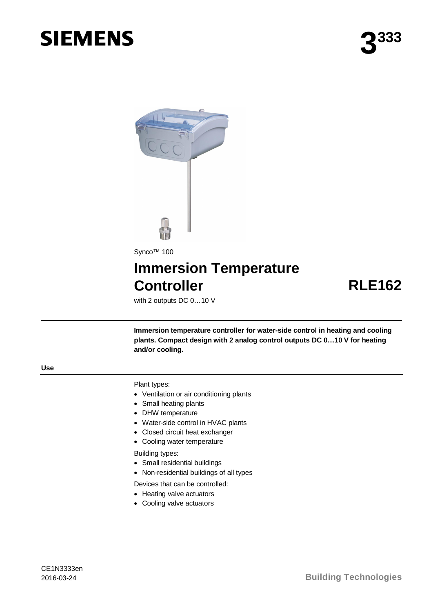# **SIEMENS**



## **Immersion Temperature Controller RLE162**

with 2 outputs DC 0…10 V

**Immersion temperature controller for water-side control in heating and cooling plants. Compact design with 2 analog control outputs DC 0…10 V for heating and/or cooling.**

Plant types:

- · Ventilation or air conditioning plants
- · Small heating plants
- · DHW temperature
- · Water-side control in HVAC plants
- · Closed circuit heat exchanger
- · Cooling water temperature

Building types:

- · Small residential buildings
- · Non-residential buildings of all types
- Devices that can be controlled:
- Heating valve actuators
- · Cooling valve actuators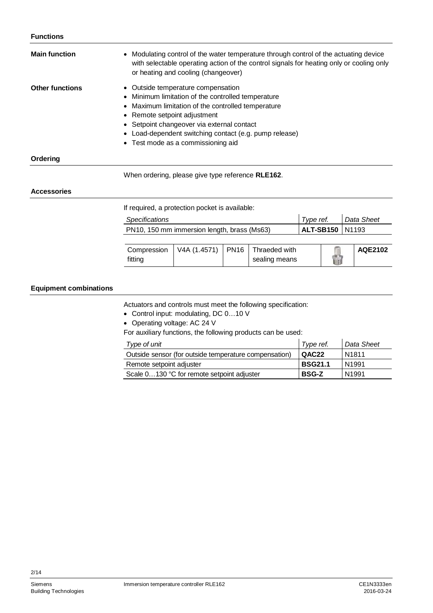| <b>Main function</b>   | • Modulating control of the water temperature through control of the actuating device<br>with selectable operating action of the control signals for heating only or cooling only<br>or heating and cooling (changeover)                                                                                                     |
|------------------------|------------------------------------------------------------------------------------------------------------------------------------------------------------------------------------------------------------------------------------------------------------------------------------------------------------------------------|
| <b>Other functions</b> | • Outside temperature compensation<br>• Minimum limitation of the controlled temperature<br>• Maximum limitation of the controlled temperature<br>• Remote setpoint adjustment<br>• Setpoint changeover via external contact<br>• Load-dependent switching contact (e.g. pump release)<br>• Test mode as a commissioning aid |
| Ordering               |                                                                                                                                                                                                                                                                                                                              |

When ordering, please give type reference **RLE162**.

#### **Accessories**

If required, a protection pocket is available:

| <b>Specifications</b>                       |                     |               | Type ref. |  |  | Data Sheet |
|---------------------------------------------|---------------------|---------------|-----------|--|--|------------|
| PN10, 150 mm immersion length, brass (Ms63) | ALT-SB150   N1193   |               |           |  |  |            |
|                                             |                     |               |           |  |  |            |
| Compression                                 | V4A (1.4571)   PN16 | Thraeded with |           |  |  | AQE2102    |
| fitting                                     |                     | sealing means |           |  |  |            |

#### **Equipment combinations**

Actuators and controls must meet the following specification:

· Control input: modulating, DC 0…10 V

· Operating voltage: AC 24 V

For auxiliary functions, the following products can be used:

| Type of unit                                          | Type ref.      | l Data Sheet      |
|-------------------------------------------------------|----------------|-------------------|
| Outside sensor (for outside temperature compensation) | QAC22          | N <sub>1811</sub> |
| Remote setpoint adjuster                              | <b>BSG21.1</b> | N <sub>1991</sub> |
| Scale 0130 °C for remote setpoint adjuster            | <b>BSG-Z</b>   | N <sub>1991</sub> |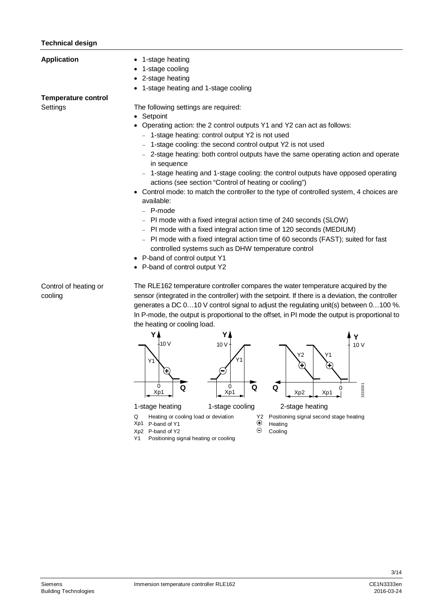### **Technical design**

| <b>Application</b>                     | 1-stage heating<br>1-stage cooling<br>2-stage heating<br>1-stage heating and 1-stage cooling                                                                                                                                                                                                                                                                                                                                                                                                                                                                                                                                                                                                                                                                                                                                                                                                                                                                                                        |
|----------------------------------------|-----------------------------------------------------------------------------------------------------------------------------------------------------------------------------------------------------------------------------------------------------------------------------------------------------------------------------------------------------------------------------------------------------------------------------------------------------------------------------------------------------------------------------------------------------------------------------------------------------------------------------------------------------------------------------------------------------------------------------------------------------------------------------------------------------------------------------------------------------------------------------------------------------------------------------------------------------------------------------------------------------|
| <b>Temperature control</b><br>Settings | The following settings are required:<br>Setpoint<br>$\bullet$<br>Operating action: the 2 control outputs Y1 and Y2 can act as follows:<br>- 1-stage heating: control output Y2 is not used<br>- 1-stage cooling: the second control output Y2 is not used<br>- 2-stage heating: both control outputs have the same operating action and operate<br>in sequence<br>1-stage heating and 1-stage cooling: the control outputs have opposed operating<br>actions (see section "Control of heating or cooling")<br>Control mode: to match the controller to the type of controlled system, 4 choices are<br>$\bullet$<br>available:<br>- P-mode<br>- PI mode with a fixed integral action time of 240 seconds (SLOW)<br>- PI mode with a fixed integral action time of 120 seconds (MEDIUM)<br>- PI mode with a fixed integral action time of 60 seconds (FAST); suited for fast<br>controlled systems such as DHW temperature control<br>• P-band of control output Y1<br>• P-band of control output Y2 |
| Control of heating or<br>cooling       | The RLE162 temperature controller compares the water temperature acquired by the<br>sensor (integrated in the controller) with the setpoint. If there is a deviation, the controller<br>generates a DC 010 V control signal to adjust the regulating unit(s) between 0100 %.<br>In P-mode, the output is proportional to the offset, in PI mode the output is proportional to<br>the heating or cooling load.<br>$-10V$<br>10V<br>10 <sub>V</sub>                                                                                                                                                                                                                                                                                                                                                                                                                                                                                                                                                   |







Xp1 0

Y1

Q Heating or cooling load or deviation  $X_2$  Positioning signal second stage heating  $X_1$  P-band of Y1

3333D01

 $\mathsf{C}$ 

- $Xp1$  P-band of Y1  $Xp2$  P-band of Y2  $\Theta$
- $Xp2$  P-band of Y2  $\Theta$  Cooling
- Y1 Positioning signal heating or cooling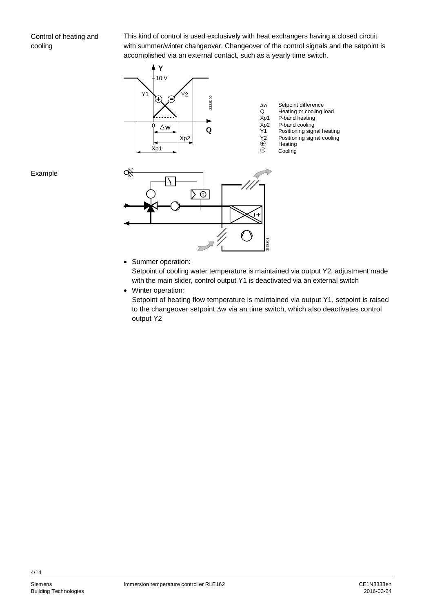This kind of control is used exclusively with heat exchangers having a closed circuit with summer/winter changeover. Changeover of the control signals and the setpoint is accomplished via an external contact, such as a yearly time switch.



Example



· Summer operation:

Setpoint of cooling water temperature is maintained via output Y2, adjustment made with the main slider, control output Y1 is deactivated via an external switch

· Winter operation:

Setpoint of heating flow temperature is maintained via output Y1, setpoint is raised to the changeover setpoint  $\Delta w$  via an time switch, which also deactivates control output Y2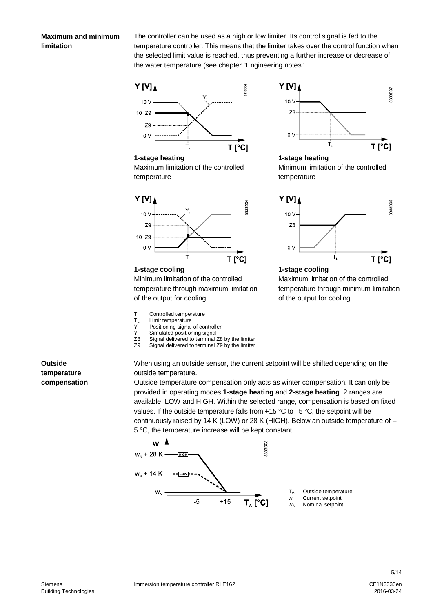#### **Maximum and minimum limitation**

The controller can be used as a high or low limiter. Its control signal is fed to the temperature controller. This means that the limiter takes over the control function when the selected limit value is reached, thus preventing a further increase or decrease of the water temperature (see chapter "Engineering notes".



Maximum limitation of the controlled

temperature



#### **1-stage heating**

Minimum limitation of the controlled temperature



Minimum limitation of the controlled temperature through maximum limitation of the output for cooling

- T Controlled temperature
- 
- $T_L$  Limit temperature<br>Y Positioning signal  $Y$  Positioning signal of controller<br> $Y_t$  Simulated positioning signal
- $Y_t$  Simulated positioning signal<br>Z8 Signal delivered to terminal
- za Signal delivered to terminal Z8 by the limiter<br>Z9 Signal delivered to terminal Z9 by the limiter
- Signal delivered to terminal Z9 by the limiter

 $Y[V]$ 3333D05  $10V$ Z<sub>8</sub>  $0<sup>0</sup>$ Ť, T<sub>[°C]</sub>

#### **1-stage cooling**

Maximum limitation of the controlled temperature through minimum limitation of the output for cooling

**Outside temperature compensation** When using an outside sensor, the current setpoint will be shifted depending on the outside temperature.

Outside temperature compensation only acts as winter compensation. It can only be provided in operating modes **1-stage heating** and **2-stage heating**. 2 ranges are available: LOW and HIGH. Within the selected range, compensation is based on fixed values. If the outside temperature falls from  $+15$  °C to  $-5$  °C, the setpoint will be continuously raised by 14 K (LOW) or 28 K (HIGH). Below an outside temperature of – 5 °C, the temperature increase will be kept constant.

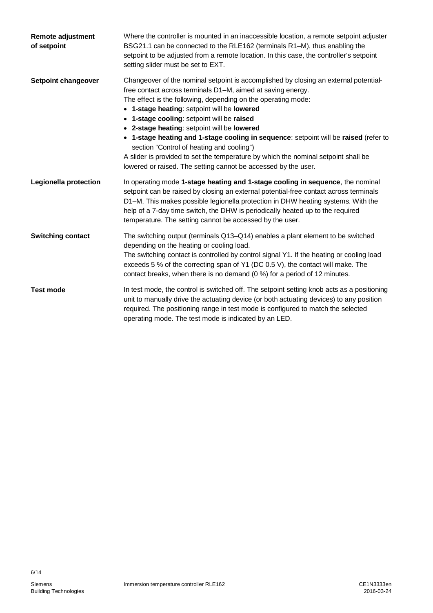| <b>Remote adjustment</b><br>of setpoint | Where the controller is mounted in an inaccessible location, a remote setpoint adjuster<br>BSG21.1 can be connected to the RLE162 (terminals R1-M), thus enabling the<br>setpoint to be adjusted from a remote location. In this case, the controller's setpoint<br>setting slider must be set to EXT.                                                                                                                                                                                                                                                                                                                                                        |
|-----------------------------------------|---------------------------------------------------------------------------------------------------------------------------------------------------------------------------------------------------------------------------------------------------------------------------------------------------------------------------------------------------------------------------------------------------------------------------------------------------------------------------------------------------------------------------------------------------------------------------------------------------------------------------------------------------------------|
| Setpoint changeover                     | Changeover of the nominal setpoint is accomplished by closing an external potential-<br>free contact across terminals D1-M, aimed at saving energy.<br>The effect is the following, depending on the operating mode:<br>• 1-stage heating: setpoint will be lowered<br>• 1-stage cooling: setpoint will be raised<br>• 2-stage heating: setpoint will be lowered<br>• 1-stage heating and 1-stage cooling in sequence: setpoint will be raised (refer to<br>section "Control of heating and cooling")<br>A slider is provided to set the temperature by which the nominal setpoint shall be<br>lowered or raised. The setting cannot be accessed by the user. |
| Legionella protection                   | In operating mode 1-stage heating and 1-stage cooling in sequence, the nominal<br>setpoint can be raised by closing an external potential-free contact across terminals<br>D1-M. This makes possible legionella protection in DHW heating systems. With the<br>help of a 7-day time switch, the DHW is periodically heated up to the required<br>temperature. The setting cannot be accessed by the user.                                                                                                                                                                                                                                                     |
| <b>Switching contact</b>                | The switching output (terminals Q13–Q14) enables a plant element to be switched<br>depending on the heating or cooling load.<br>The switching contact is controlled by control signal Y1. If the heating or cooling load<br>exceeds 5 % of the correcting span of Y1 (DC 0.5 V), the contact will make. The<br>contact breaks, when there is no demand (0 %) for a period of 12 minutes.                                                                                                                                                                                                                                                                      |
| <b>Test mode</b>                        | In test mode, the control is switched off. The setpoint setting knob acts as a positioning<br>unit to manually drive the actuating device (or both actuating devices) to any position<br>required. The positioning range in test mode is configured to match the selected<br>operating mode. The test mode is indicated by an LED.                                                                                                                                                                                                                                                                                                                            |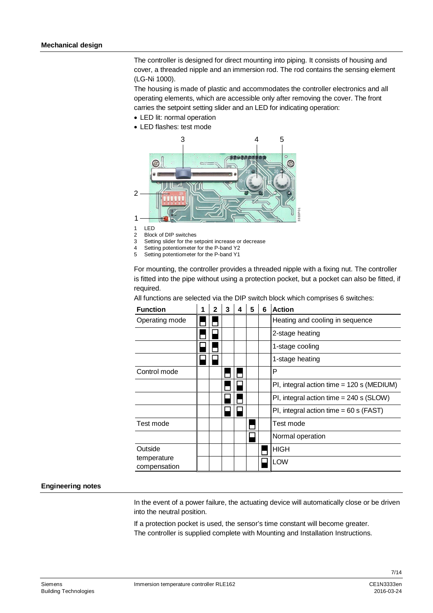The controller is designed for direct mounting into piping. It consists of housing and cover, a threaded nipple and an immersion rod. The rod contains the sensing element (LG-Ni 1000).

The housing is made of plastic and accommodates the controller electronics and all operating elements, which are accessible only after removing the cover. The front carries the setpoint setting slider and an LED for indicating operation:

- · LED lit: normal operation
- · LED flashes: test mode



1 LED

2 Block of DIP switches

3 Setting slider for the setpoint increase or decrease

4 Setting potentiometer for the P-band Y2

5 Setting potentiometer for the P-band Y1

For mounting, the controller provides a threaded nipple with a fixing nut. The controller is fitted into the pipe without using a protection pocket, but a pocket can also be fitted, if required.

| <b>Function</b>             | $\overline{2}$ | $\mathbf{3}$ | $\overline{\mathbf{4}}$ | $5\phantom{1}$ | 6 | <b>Action</b>                               |
|-----------------------------|----------------|--------------|-------------------------|----------------|---|---------------------------------------------|
| Operating mode              |                |              |                         |                |   | Heating and cooling in sequence             |
|                             |                |              |                         |                |   | 2-stage heating                             |
|                             |                |              |                         |                |   | 1-stage cooling                             |
|                             |                |              |                         |                |   | 1-stage heating                             |
| Control mode                |                |              |                         |                |   | P                                           |
|                             |                |              |                         |                |   | PI, integral action time = $120$ s (MEDIUM) |
|                             |                |              |                         |                |   | PI, integral action time $= 240$ s (SLOW)   |
|                             |                |              |                         |                |   | PI, integral action time = $60 s$ (FAST)    |
| Test mode                   |                |              |                         |                |   | Test mode                                   |
|                             |                |              |                         |                |   | Normal operation                            |
| Outside                     |                |              |                         |                |   | <b>HIGH</b>                                 |
| temperature<br>compensation |                |              |                         |                |   | LOW                                         |

All functions are selected via the DIP switch block which comprises 6 switches:

#### **Engineering notes**

In the event of a power failure, the actuating device will automatically close or be driven into the neutral position.

If a protection pocket is used, the sensor's time constant will become greater. The controller is supplied complete with Mounting and Installation Instructions.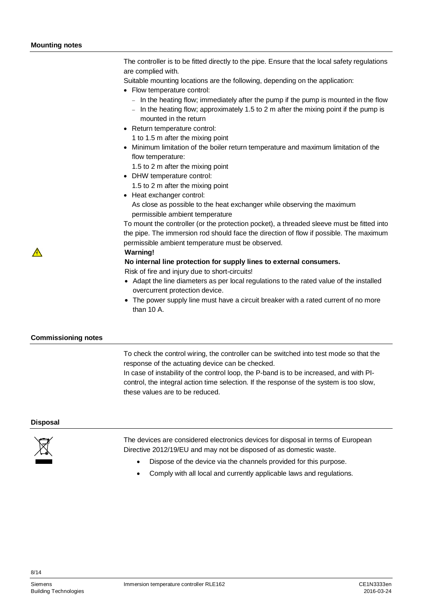The controller is to be fitted directly to the pipe. Ensure that the local safety regulations are complied with.

Suitable mounting locations are the following, depending on the application:

- · Flow temperature control:
	- In the heating flow; immediately after the pump if the pump is mounted in the flow
	- $-$  In the heating flow; approximately 1.5 to 2 m after the mixing point if the pump is mounted in the return
- · Return temperature control:
	- 1 to 1.5 m after the mixing point
- · Minimum limitation of the boiler return temperature and maximum limitation of the flow temperature:
- 1.5 to 2 m after the mixing point
- · DHW temperature control:
	- 1.5 to 2 m after the mixing point
- · Heat exchanger control: As close as possible to the heat exchanger while observing the maximum permissible ambient temperature

To mount the controller (or the protection pocket), a threaded sleeve must be fitted into the pipe. The immersion rod should face the direction of flow if possible. The maximum permissible ambient temperature must be observed.

**Warning!**

#### **No internal line protection for supply lines to external consumers.**

Risk of fire and injury due to short-circuits!

- · Adapt the line diameters as per local regulations to the rated value of the installed overcurrent protection device.
- · The power supply line must have a circuit breaker with a rated current of no more than 10 A.

#### **Commissioning notes**

To check the control wiring, the controller can be switched into test mode so that the response of the actuating device can be checked.

In case of instability of the control loop, the P-band is to be increased, and with PIcontrol, the integral action time selection. If the response of the system is too slow, these values are to be reduced.

#### **Disposal**

 $\mathbb{A}$ 



The devices are considered electronics devices for disposal in terms of European Directive 2012/19/EU and may not be disposed of as domestic waste.

- Dispose of the device via the channels provided for this purpose.
- Comply with all local and currently applicable laws and regulations.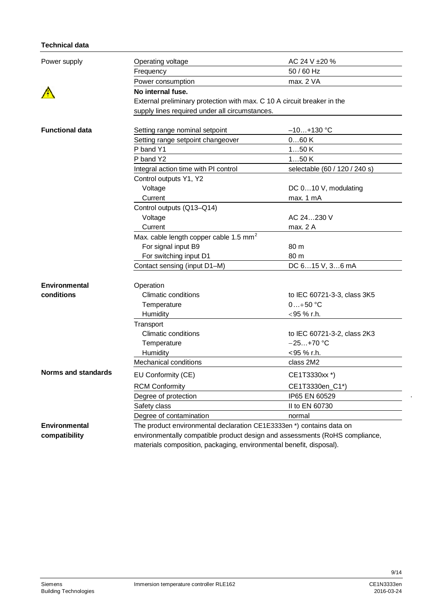### **Technical data**

| Power supply                                       | Operating voltage                                                           | AC 24 V ±20 %                 |  |  |  |  |  |
|----------------------------------------------------|-----------------------------------------------------------------------------|-------------------------------|--|--|--|--|--|
|                                                    | Frequency                                                                   | 50 / 60 Hz                    |  |  |  |  |  |
|                                                    | Power consumption                                                           | max. 2 VA                     |  |  |  |  |  |
|                                                    | No internal fuse.                                                           |                               |  |  |  |  |  |
|                                                    | External preliminary protection with max. C 10 A circuit breaker in the     |                               |  |  |  |  |  |
| <b>Functional data</b>                             | supply lines required under all circumstances.                              |                               |  |  |  |  |  |
|                                                    |                                                                             |                               |  |  |  |  |  |
|                                                    | Setting range nominal setpoint                                              | –10…+130 °C                   |  |  |  |  |  |
|                                                    | Setting range setpoint changeover                                           | 060K                          |  |  |  |  |  |
|                                                    | P band Y1                                                                   | 150K                          |  |  |  |  |  |
|                                                    | P band Y2                                                                   | 150K                          |  |  |  |  |  |
| Environmental<br>conditions<br>Norms and standards | Integral action time with PI control                                        | selectable (60 / 120 / 240 s) |  |  |  |  |  |
|                                                    | Control outputs Y1, Y2                                                      |                               |  |  |  |  |  |
|                                                    | Voltage                                                                     | DC 010 V, modulating          |  |  |  |  |  |
|                                                    | Current                                                                     | max. 1 mA                     |  |  |  |  |  |
|                                                    | Control outputs (Q13-Q14)                                                   |                               |  |  |  |  |  |
|                                                    | Voltage                                                                     | AC 24230 V                    |  |  |  |  |  |
|                                                    | Current                                                                     | max. 2 A                      |  |  |  |  |  |
|                                                    | Max. cable length copper cable 1.5 mm <sup>2</sup>                          |                               |  |  |  |  |  |
|                                                    | For signal input B9                                                         | 80 m                          |  |  |  |  |  |
|                                                    | For switching input D1                                                      | 80 m                          |  |  |  |  |  |
|                                                    | Contact sensing (input D1-M)                                                | DC 615 V, 36 mA               |  |  |  |  |  |
|                                                    |                                                                             |                               |  |  |  |  |  |
|                                                    | Operation                                                                   |                               |  |  |  |  |  |
|                                                    | <b>Climatic conditions</b>                                                  | to IEC 60721-3-3, class 3K5   |  |  |  |  |  |
|                                                    | Temperature                                                                 | $0+50 °C$                     |  |  |  |  |  |
|                                                    | Humidity                                                                    | $<$ 95 % r.h.                 |  |  |  |  |  |
|                                                    | Transport                                                                   |                               |  |  |  |  |  |
|                                                    | <b>Climatic conditions</b>                                                  | to IEC 60721-3-2, class 2K3   |  |  |  |  |  |
|                                                    | Temperature                                                                 | $-25+70 °C$                   |  |  |  |  |  |
|                                                    | Humidity                                                                    | <95 % r.h.                    |  |  |  |  |  |
|                                                    | Mechanical conditions                                                       | class 2M2                     |  |  |  |  |  |
|                                                    | EU Conformity (CE)                                                          | CE1T3330xx *)                 |  |  |  |  |  |
|                                                    | <b>RCM Conformity</b>                                                       | CE1T3330en_C1*)               |  |  |  |  |  |
|                                                    | Degree of protection                                                        | IP65 EN 60529                 |  |  |  |  |  |
|                                                    | Safety class                                                                | II to EN 60730                |  |  |  |  |  |
|                                                    | Degree of contamination                                                     | normal                        |  |  |  |  |  |
| Environmental                                      | The product environmental declaration CE1E3333en *) contains data on        |                               |  |  |  |  |  |
| compatibility                                      | environmentally compatible product design and assessments (RoHS compliance, |                               |  |  |  |  |  |
|                                                    | materials composition, packaging, environmental benefit, disposal).         |                               |  |  |  |  |  |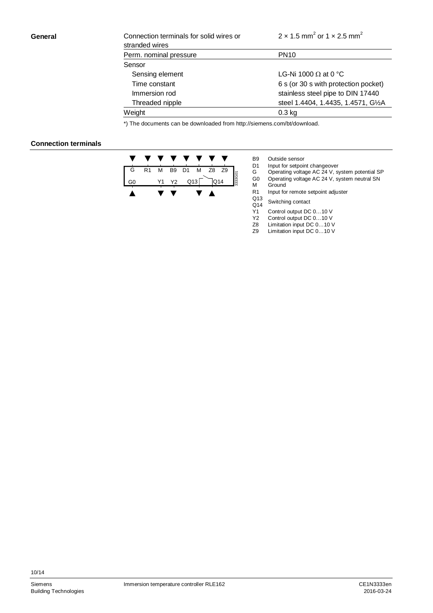#### **General**

| Connection terminals for solid wires or<br>stranded wires | $2 \times 1.5$ mm <sup>2</sup> or $1 \times 2.5$ mm <sup>2</sup> |
|-----------------------------------------------------------|------------------------------------------------------------------|
| Perm. nominal pressure                                    | <b>PN10</b>                                                      |
| Sensor                                                    |                                                                  |
| Sensing element                                           | LG-Ni 1000 $\Omega$ at 0 °C                                      |
| Time constant                                             | 6 s (or 30 s with protection pocket)                             |
| Immersion rod                                             | stainless steel pipe to DIN 17440                                |
| Threaded nipple                                           | steel 1.4404, 1.4435, 1.4571, G1/2A                              |
| Weight                                                    | $0.3$ kg                                                         |

\*) The documents can be downloaded from [http://siemens.com/bt/download.](http://siemens.com/bt/download)

#### **Connection terminals**

|   |                |   | $\mathcal{L}$ |  |                             |  |
|---|----------------|---|---------------|--|-----------------------------|--|
| G | R <sub>1</sub> | M |               |  | B9 D1 M Z8 Z9<br>Y2 Q13 Q14 |  |
|   |                |   | Y1 Y2         |  |                             |  |
|   |                |   |               |  |                             |  |

B9 Outside sensor<br>D1 Input for setpoir D1 Input for setpoint changeover<br>G Operating voltage AC 24 V, st

G Operating voltage AC 24 V, system potential SP

- G0 Operating voltage AC 24 V, system neutral SN M Ground
- R1 Input for remote setpoint adjuster<br>Q13
	-
- $Q13$  Switching contact<br>  $Q14$  Control output DC

Y1 Control output DC 0...10 V<br>Y2 Control output DC 0...10 V

- Control output DC 0...10 V
- Z8 Limitation input DC 0...10 V<br>Z9 Limitation input DC 0...10 V Limitation input DC 0...10 V
-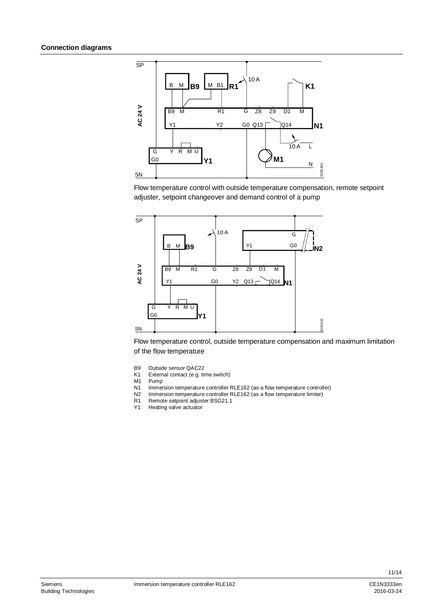

Flow temperature control with outside temperature compensation, remote setpoint adjuster, setpoint changeover and demand control of a pump



Flow temperature control, outside temperature compensation and maximum limitation of the flow temperature

- B9 Outside sensor QAC22<br>K1 External contact (e.g. ti
- External contact (e.g. time switch)
- M1 Pump
- N1 Immersion temperature controller RLE162 (as a flow temperature controller)<br>N2 Immersion temperature controller RLE162 (as a flow temperature limiter)
- Immersion temperature controller RLE162 (as a flow temperature limiter)
- R1 Remote setpoint adjuster BSG21.1
- Y1 Heating valve actuator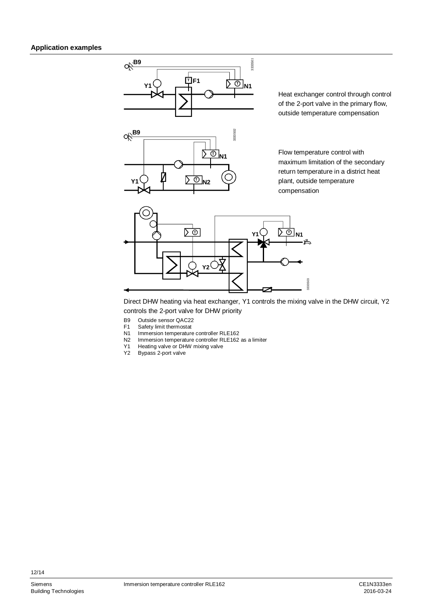

Heat exchanger control through control of the 2-port valve in the primary flow, outside temperature compensation

Flow temperature control with maximum limitation of the secondary return temperature in a district heat plant, outside temperature compensation



Direct DHW heating via heat exchanger, Y1 controls the mixing valve in the DHW circuit, Y2 controls the 2-port valve for DHW priority

- 
- B9 Outside sensor QAC22<br>F1 Safety limit thermostat
- F1 Safety limit thermostat<br>N1 Immersion temperature N1 Immersion temperature controller RLE162<br>N2 Immersion temperature controller RLE162
- N2 Immersion temperature controller RLE162 as a limiter<br>Y1 Heating valve or DHW mixing valve
- Y1 Heating valve or DHW mixing valve<br>Y2 Bypass 2-port valve
- Bypass 2-port valve